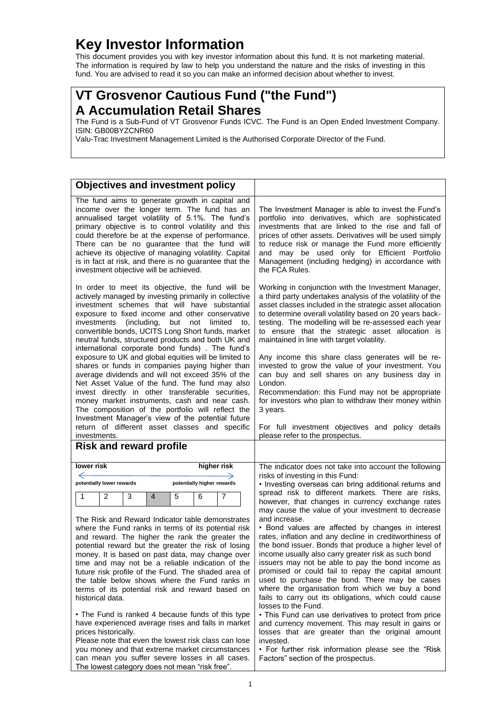## **Key Investor Information**

This document provides you with key investor information about this fund. It is not marketing material. The information is required by law to help you understand the nature and the risks of investing in this fund. You are advised to read it so you can make an informed decision about whether to invest.

## **VT Grosvenor Cautious Fund ("the Fund") A Accumulation Retail Shares**

The Fund is a Sub-Fund of VT Grosvenor Funds ICVC. The Fund is an Open Ended Investment Company. ISIN: GB00BYZCNR60

Valu-Trac Investment Management Limited is the Authorised Corporate Director of the Fund.

| <b>Objectives and investment policy</b>                                                                                                                                                                                                                                                                                                                                                                                                                                                                                                                                                                                                                                                                                                                                                                                                                                                                                                                                         |                                                                                                                                                                                                                                                                                                                                                                                                                                                                                                                                                                                                                                                                                                                                                                                                                                                                                                                                                                                                                                                      |
|---------------------------------------------------------------------------------------------------------------------------------------------------------------------------------------------------------------------------------------------------------------------------------------------------------------------------------------------------------------------------------------------------------------------------------------------------------------------------------------------------------------------------------------------------------------------------------------------------------------------------------------------------------------------------------------------------------------------------------------------------------------------------------------------------------------------------------------------------------------------------------------------------------------------------------------------------------------------------------|------------------------------------------------------------------------------------------------------------------------------------------------------------------------------------------------------------------------------------------------------------------------------------------------------------------------------------------------------------------------------------------------------------------------------------------------------------------------------------------------------------------------------------------------------------------------------------------------------------------------------------------------------------------------------------------------------------------------------------------------------------------------------------------------------------------------------------------------------------------------------------------------------------------------------------------------------------------------------------------------------------------------------------------------------|
| The fund aims to generate growth in capital and<br>income over the longer term. The fund has an<br>annualised target volatility of 5.1%. The fund's<br>primary objective is to control volatility and this<br>could therefore be at the expense of performance.<br>There can be no guarantee that the fund will<br>achieve its objective of managing volatility. Capital<br>is in fact at risk, and there is no guarantee that the<br>investment objective will be achieved.                                                                                                                                                                                                                                                                                                                                                                                                                                                                                                    | The Investment Manager is able to invest the Fund's<br>portfolio into derivatives, which are sophisticated<br>investments that are linked to the rise and fall of<br>prices of other assets. Derivatives will be used simply<br>to reduce risk or manage the Fund more efficiently<br>and may be used only for Efficient Portfolio<br>Management (including hedging) in accordance with<br>the FCA Rules.                                                                                                                                                                                                                                                                                                                                                                                                                                                                                                                                                                                                                                            |
| In order to meet its objective, the fund will be<br>actively managed by investing primarily in collective<br>investment schemes that will have substantial<br>exposure to fixed income and other conservative<br>(including,<br>but<br>investments<br>not<br>limited<br>to.<br>convertible bonds, UCITS Long Short funds, market<br>neutral funds, structured products and both UK and<br>international corporate bond funds). The fund's<br>exposure to UK and global equities will be limited to<br>shares or funds in companies paying higher than<br>average dividends and will not exceed 35% of the<br>Net Asset Value of the fund. The fund may also<br>invest directly in other transferable securities,<br>money market instruments, cash and near cash.<br>The composition of the portfolio will reflect the<br>Investment Manager's view of the potential future<br>return of different asset classes and specific<br>investments.<br><b>Risk and reward profile</b> | Working in conjunction with the Investment Manager,<br>a third party undertakes analysis of the volatility of the<br>asset classes included in the strategic asset allocation<br>to determine overall volatility based on 20 years back-<br>testing. The modelling will be re-assessed each year<br>to ensure that the strategic asset allocation is<br>maintained in line with target volatility.<br>Any income this share class generates will be re-<br>invested to grow the value of your investment. You<br>can buy and sell shares on any business day in<br>London.<br>Recommendation: this Fund may not be appropriate<br>for investors who plan to withdraw their money within<br>3 years.<br>For full investment objectives and policy details<br>please refer to the prospectus.                                                                                                                                                                                                                                                          |
|                                                                                                                                                                                                                                                                                                                                                                                                                                                                                                                                                                                                                                                                                                                                                                                                                                                                                                                                                                                 |                                                                                                                                                                                                                                                                                                                                                                                                                                                                                                                                                                                                                                                                                                                                                                                                                                                                                                                                                                                                                                                      |
| lower risk<br>higher risk<br>←                                                                                                                                                                                                                                                                                                                                                                                                                                                                                                                                                                                                                                                                                                                                                                                                                                                                                                                                                  | The indicator does not take into account the following<br>risks of investing in this Fund:                                                                                                                                                                                                                                                                                                                                                                                                                                                                                                                                                                                                                                                                                                                                                                                                                                                                                                                                                           |
| potentially higher rewards<br>potentially lower rewards<br>$\overline{2}$<br>3<br>5<br>1<br>4<br>6<br>7<br>The Risk and Reward Indicator table demonstrates<br>where the Fund ranks in terms of its potential risk<br>and reward. The higher the rank the greater the<br>potential reward but the greater the risk of losing<br>money. It is based on past data, may change over<br>time and may not be a reliable indication of the<br>future risk profile of the Fund. The shaded area of<br>the table below shows where the Fund ranks in<br>terms of its potential risk and reward based on<br>historical data.<br>• The Fund is ranked 4 because funds of this type<br>have experienced average rises and falls in market<br>prices historically.<br>Please note that even the lowest risk class can lose<br>you money and that extreme market circumstances<br>can mean you suffer severe losses in all cases.                                                            | • Investing overseas can bring additional returns and<br>spread risk to different markets. There are risks,<br>however, that changes in currency exchange rates<br>may cause the value of your investment to decrease<br>and increase.<br>• Bond values are affected by changes in interest<br>rates, inflation and any decline in creditworthiness of<br>the bond issuer. Bonds that produce a higher level of<br>income usually also carry greater risk as such bond<br>issuers may not be able to pay the bond income as<br>promised or could fail to repay the capital amount<br>used to purchase the bond. There may be cases<br>where the organisation from which we buy a bond<br>fails to carry out its obligations, which could cause<br>losses to the Fund.<br>• This Fund can use derivatives to protect from price<br>and currency movement. This may result in gains or<br>losses that are greater than the original amount<br>invested.<br>• For further risk information please see the "Risk"<br>Factors" section of the prospectus. |